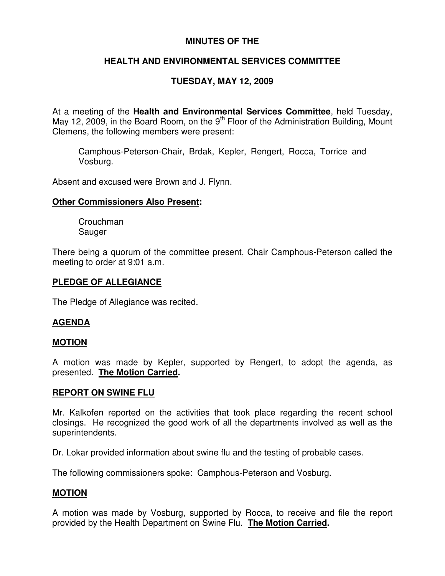## **MINUTES OF THE**

# **HEALTH AND ENVIRONMENTAL SERVICES COMMITTEE**

# **TUESDAY, MAY 12, 2009**

At a meeting of the **Health and Environmental Services Committee**, held Tuesday, May 12, 2009, in the Board Room, on the  $9<sup>th</sup>$  Floor of the Administration Building, Mount Clemens, the following members were present:

Camphous-Peterson-Chair, Brdak, Kepler, Rengert, Rocca, Torrice and Vosburg.

Absent and excused were Brown and J. Flynn.

### **Other Commissioners Also Present:**

Crouchman Sauger

There being a quorum of the committee present, Chair Camphous-Peterson called the meeting to order at 9:01 a.m.

### **PLEDGE OF ALLEGIANCE**

The Pledge of Allegiance was recited.

## **AGENDA**

## **MOTION**

A motion was made by Kepler, supported by Rengert, to adopt the agenda, as presented. **The Motion Carried.**

#### **REPORT ON SWINE FLU**

Mr. Kalkofen reported on the activities that took place regarding the recent school closings. He recognized the good work of all the departments involved as well as the superintendents.

Dr. Lokar provided information about swine flu and the testing of probable cases.

The following commissioners spoke: Camphous-Peterson and Vosburg.

## **MOTION**

A motion was made by Vosburg, supported by Rocca, to receive and file the report provided by the Health Department on Swine Flu. **The Motion Carried.**